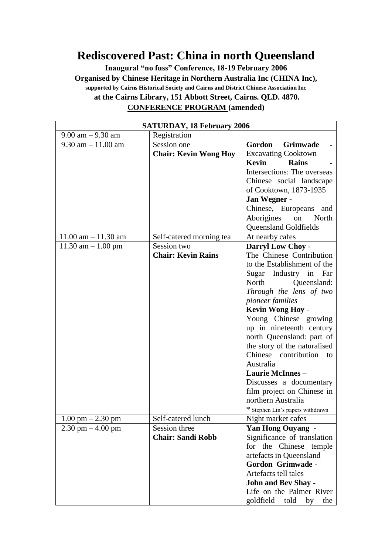## **Rediscovered Past: China in north Queensland**

**Inaugural "no fuss" Conference, 18-19 February 2006 Organised by Chinese Heritage in Northern Australia Inc (CHINA Inc), supported by Cairns Historical Society and Cairns and District Chinese Association Inc at the Cairns Library, 151 Abbott Street, Cairns. QLD. 4870. CONFERENCE PROGRAM (amended)**

| <b>SATURDAY, 18 February 2006</b>    |                              |                                              |  |
|--------------------------------------|------------------------------|----------------------------------------------|--|
| $9.00$ am $-9.30$ am<br>Registration |                              |                                              |  |
| $9.30$ am $-11.00$ am                | Session one                  | Gordon<br><b>Grimwade</b>                    |  |
|                                      | <b>Chair: Kevin Wong Hoy</b> | <b>Excavating Cooktown</b>                   |  |
|                                      |                              | Kevin<br><b>Rains</b>                        |  |
|                                      |                              | Intersections: The overseas                  |  |
|                                      |                              | Chinese social landscape                     |  |
|                                      |                              | of Cooktown, 1873-1935                       |  |
|                                      |                              | Jan Wegner -                                 |  |
|                                      |                              | Chinese, Europeans and                       |  |
|                                      |                              | Aborigines<br>North<br>on                    |  |
|                                      |                              | Queensland Goldfields                        |  |
| $11.00$ am $- 11.30$ am              | Self-catered morning tea     | At nearby cafes                              |  |
| $11.30$ am $-1.00$ pm                | Session two                  | Darryl Low Choy -                            |  |
|                                      | <b>Chair: Kevin Rains</b>    | The Chinese Contribution                     |  |
|                                      |                              | to the Establishment of the                  |  |
|                                      |                              | Sugar Industry in Far                        |  |
|                                      |                              | North<br>Queensland:                         |  |
|                                      |                              | Through the lens of two                      |  |
|                                      |                              | <i>pioneer families</i>                      |  |
|                                      |                              | <b>Kevin Wong Hoy -</b>                      |  |
|                                      |                              | Young Chinese growing                        |  |
|                                      |                              | up in nineteenth century                     |  |
|                                      |                              | north Queensland: part of                    |  |
|                                      |                              | the story of the naturalised                 |  |
|                                      |                              | Chinese contribution to                      |  |
|                                      |                              | Australia                                    |  |
|                                      |                              | <b>Laurie McInnes -</b>                      |  |
|                                      |                              | Discusses a documentary                      |  |
|                                      |                              | film project on Chinese in                   |  |
|                                      |                              | northern Australia                           |  |
|                                      |                              | * Stephen Lin's papers withdrawn             |  |
| $1.00$ pm $- 2.30$ pm                | Self-catered lunch           | Night market cafes                           |  |
| $2.30$ pm $-4.00$ pm                 | Session three                | <b>Yan Hong Ouyang -</b>                     |  |
|                                      | <b>Chair: Sandi Robb</b>     | Significance of translation                  |  |
|                                      |                              | for the Chinese temple                       |  |
|                                      |                              | artefacts in Queensland<br>Gordon Grimwade - |  |
|                                      |                              | Artefacts tell tales                         |  |
|                                      |                              | <b>John and Bev Shay -</b>                   |  |
|                                      |                              | Life on the Palmer River                     |  |
|                                      |                              |                                              |  |
|                                      |                              | goldfield<br>told<br>by<br>the               |  |